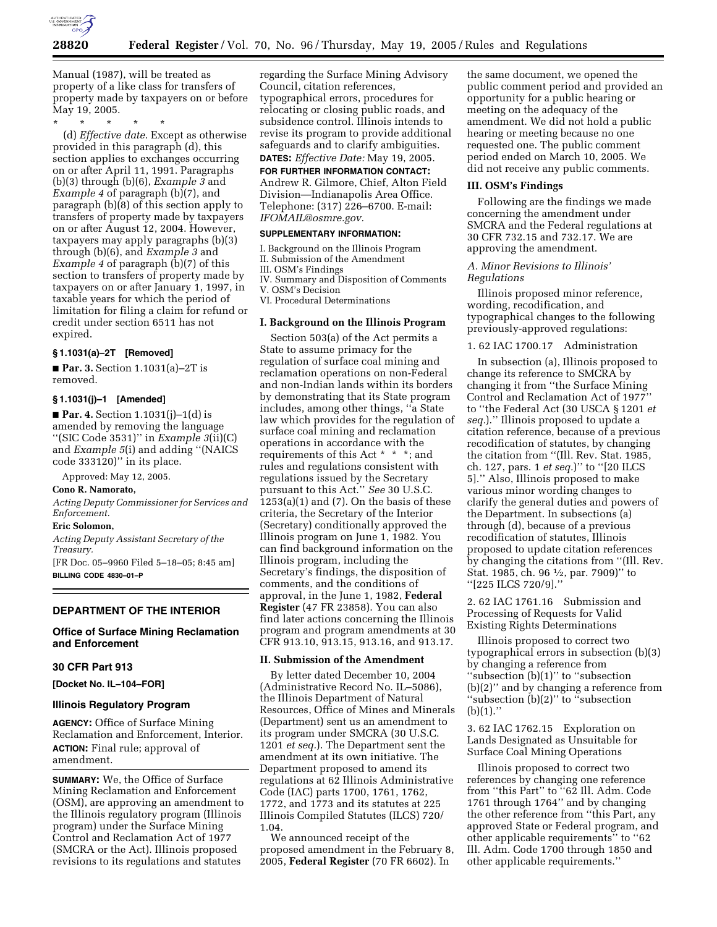

Manual (1987), will be treated as property of a like class for transfers of property made by taxpayers on or before May 19, 2005.

\* \* \* \* \*

(d) *Effective date.* Except as otherwise provided in this paragraph (d), this section applies to exchanges occurring on or after April 11, 1991. Paragraphs (b)(3) through (b)(6), *Example 3* and *Example 4* of paragraph (b)(7), and paragraph (b)(8) of this section apply to transfers of property made by taxpayers on or after August 12, 2004. However, taxpayers may apply paragraphs (b)(3) through (b)(6), and *Example 3* and *Example 4* of paragraph (b)(7) of this section to transfers of property made by taxpayers on or after January 1, 1997, in taxable years for which the period of limitation for filing a claim for refund or credit under section 6511 has not expired.

### **§ 1.1031(a)–2T [Removed]**

■ **Par. 3.** Section 1.1031(a)–2T is removed.

## **§ 1.1031(j)–1 [Amended]**

■ **Par. 4.** Section 1.1031(j)–1(d) is amended by removing the language ''(SIC Code 3531)'' in *Example 3*(ii)(C) and *Example 5*(i) and adding ''(NAICS code 333120)'' in its place.

Approved: May 12, 2005.

#### **Cono R. Namorato,**

*Acting Deputy Commissioner for Services and Enforcement.* 

### **Eric Solomon,**

*Acting Deputy Assistant Secretary of the Treasury.*

[FR Doc. 05–9960 Filed 5–18–05; 8:45 am] **BILLING CODE 4830–01–P**

### **DEPARTMENT OF THE INTERIOR**

### **Office of Surface Mining Reclamation and Enforcement**

### **30 CFR Part 913**

**[Docket No. IL–104–FOR]** 

#### **Illinois Regulatory Program**

**AGENCY:** Office of Surface Mining Reclamation and Enforcement, Interior. **ACTION:** Final rule; approval of amendment.

**SUMMARY:** We, the Office of Surface Mining Reclamation and Enforcement (OSM), are approving an amendment to the Illinois regulatory program (Illinois program) under the Surface Mining Control and Reclamation Act of 1977 (SMCRA or the Act). Illinois proposed revisions to its regulations and statutes

regarding the Surface Mining Advisory Council, citation references, typographical errors, procedures for relocating or closing public roads, and subsidence control. Illinois intends to revise its program to provide additional safeguards and to clarify ambiguities.

## **DATES:** *Effective Date:* May 19, 2005. **FOR FURTHER INFORMATION CONTACT:**

Andrew R. Gilmore, Chief, Alton Field Division—Indianapolis Area Office. Telephone: (317) 226–6700. E-mail: *IFOMAIL@osmre.gov.*

#### **SUPPLEMENTARY INFORMATION:**

I. Background on the Illinois Program II. Submission of the Amendment III. OSM's Findings IV. Summary and Disposition of Comments V. OSM's Decision VI. Procedural Determinations

### **I. Background on the Illinois Program**

Section 503(a) of the Act permits a State to assume primacy for the regulation of surface coal mining and reclamation operations on non-Federal and non-Indian lands within its borders by demonstrating that its State program includes, among other things, ''a State law which provides for the regulation of surface coal mining and reclamation operations in accordance with the requirements of this Act \* \* \*; and rules and regulations consistent with regulations issued by the Secretary pursuant to this Act.'' *See* 30 U.S.C.  $1253(a)(1)$  and  $(7)$ . On the basis of these criteria, the Secretary of the Interior (Secretary) conditionally approved the Illinois program on June 1, 1982. You can find background information on the Illinois program, including the Secretary's findings, the disposition of comments, and the conditions of approval, in the June 1, 1982, **Federal Register** (47 FR 23858). You can also find later actions concerning the Illinois program and program amendments at 30 CFR 913.10, 913.15, 913.16, and 913.17.

#### **II. Submission of the Amendment**

By letter dated December 10, 2004 (Administrative Record No. IL–5086), the Illinois Department of Natural Resources, Office of Mines and Minerals (Department) sent us an amendment to its program under SMCRA (30 U.S.C. 1201 *et seq.*). The Department sent the amendment at its own initiative. The Department proposed to amend its regulations at 62 Illinois Administrative Code (IAC) parts 1700, 1761, 1762, 1772, and 1773 and its statutes at 225 Illinois Compiled Statutes (ILCS) 720/ 1.04.

We announced receipt of the proposed amendment in the February 8, 2005, **Federal Register** (70 FR 6602). In

the same document, we opened the public comment period and provided an opportunity for a public hearing or meeting on the adequacy of the amendment. We did not hold a public hearing or meeting because no one requested one. The public comment period ended on March 10, 2005. We did not receive any public comments.

### **III. OSM's Findings**

Following are the findings we made concerning the amendment under SMCRA and the Federal regulations at 30 CFR 732.15 and 732.17. We are approving the amendment.

### *A. Minor Revisions to Illinois' Regulations*

Illinois proposed minor reference, wording, recodification, and typographical changes to the following previously-approved regulations:

1. 62 IAC 1700.17 Administration

In subsection (a), Illinois proposed to change its reference to SMCRA by changing it from ''the Surface Mining Control and Reclamation Act of 1977'' to ''the Federal Act (30 USCA § 1201 *et seq.*).'' Illinois proposed to update a citation reference, because of a previous recodification of statutes, by changing the citation from ''(Ill. Rev. Stat. 1985, ch. 127, pars. 1 *et seq.*)'' to ''[20 ILCS 5].'' Also, Illinois proposed to make various minor wording changes to clarify the general duties and powers of the Department. In subsections (a) through (d), because of a previous recodification of statutes, Illinois proposed to update citation references by changing the citations from ''(Ill. Rev. Stat. 1985, ch. 96 1⁄2, par. 7909)'' to ''[225 ILCS 720/9].''

2. 62 IAC 1761.16 Submission and Processing of Requests for Valid Existing Rights Determinations

Illinois proposed to correct two typographical errors in subsection (b)(3) by changing a reference from ''subsection (b)(1)'' to ''subsection (b)(2)'' and by changing a reference from ''subsection (b)(2)'' to ''subsection  $(b)(1)$ ."

3. 62 IAC 1762.15 Exploration on Lands Designated as Unsuitable for Surface Coal Mining Operations

Illinois proposed to correct two references by changing one reference from ''this Part'' to ''62 Ill. Adm. Code 1761 through 1764'' and by changing the other reference from ''this Part, any approved State or Federal program, and other applicable requirements'' to ''62 Ill. Adm. Code 1700 through 1850 and other applicable requirements.''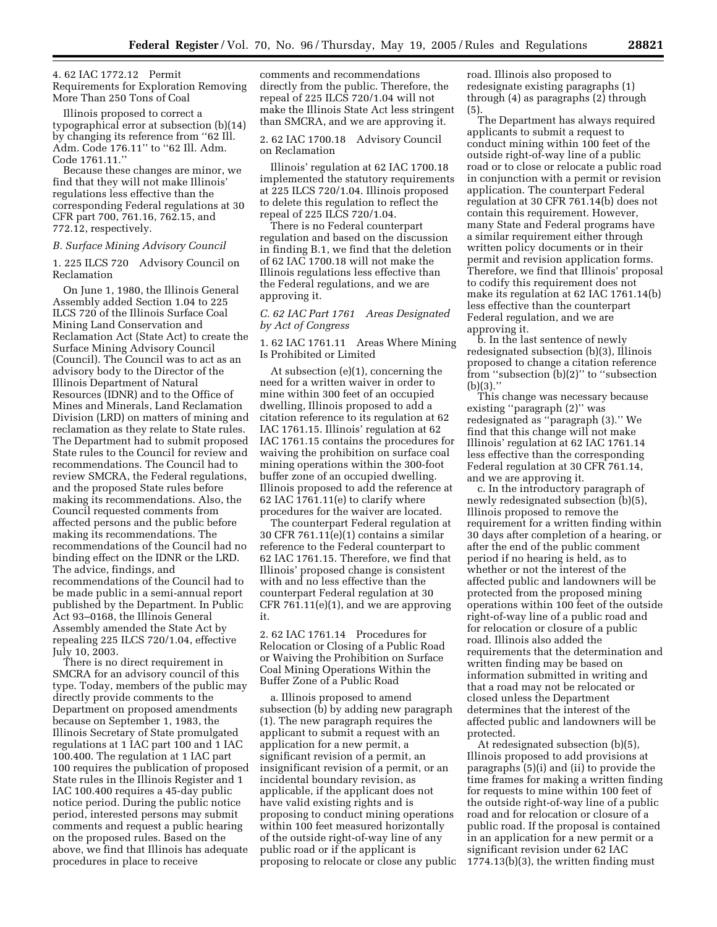4. 62 IAC 1772.12 Permit Requirements for Exploration Removing More Than 250 Tons of Coal

Illinois proposed to correct a typographical error at subsection (b)(14) by changing its reference from ''62 Ill. Adm. Code 176.11'' to ''62 Ill. Adm. Code 1761.11.''

Because these changes are minor, we find that they will not make Illinois' regulations less effective than the corresponding Federal regulations at 30 CFR part 700, 761.16, 762.15, and 772.12, respectively.

#### *B. Surface Mining Advisory Council*

1. 225 ILCS 720 Advisory Council on Reclamation

On June 1, 1980, the Illinois General Assembly added Section 1.04 to 225 ILCS 720 of the Illinois Surface Coal Mining Land Conservation and Reclamation Act (State Act) to create the Surface Mining Advisory Council (Council). The Council was to act as an advisory body to the Director of the Illinois Department of Natural Resources (IDNR) and to the Office of Mines and Minerals, Land Reclamation Division (LRD) on matters of mining and reclamation as they relate to State rules. The Department had to submit proposed State rules to the Council for review and recommendations. The Council had to review SMCRA, the Federal regulations, and the proposed State rules before making its recommendations. Also, the Council requested comments from affected persons and the public before making its recommendations. The recommendations of the Council had no binding effect on the IDNR or the LRD. The advice, findings, and recommendations of the Council had to be made public in a semi-annual report published by the Department. In Public Act 93–0168, the Illinois General Assembly amended the State Act by repealing 225 ILCS 720/1.04, effective July 10, 2003.

There is no direct requirement in SMCRA for an advisory council of this type. Today, members of the public may directly provide comments to the Department on proposed amendments because on September 1, 1983, the Illinois Secretary of State promulgated regulations at 1 IAC part 100 and 1 IAC 100.400. The regulation at 1 IAC part 100 requires the publication of proposed State rules in the Illinois Register and 1 IAC 100.400 requires a 45-day public notice period. During the public notice period, interested persons may submit comments and request a public hearing on the proposed rules. Based on the above, we find that Illinois has adequate procedures in place to receive

comments and recommendations directly from the public. Therefore, the repeal of 225 ILCS 720/1.04 will not make the Illinois State Act less stringent than SMCRA, and we are approving it.

2. 62 IAC 1700.18 Advisory Council on Reclamation

Illinois' regulation at 62 IAC 1700.18 implemented the statutory requirements at 225 ILCS 720/1.04. Illinois proposed to delete this regulation to reflect the repeal of 225 ILCS 720/1.04.

There is no Federal counterpart regulation and based on the discussion in finding B.1, we find that the deletion of 62 IAC 1700.18 will not make the Illinois regulations less effective than the Federal regulations, and we are approving it.

# *C. 62 IAC Part 1761 Areas Designated by Act of Congress*

1. 62 IAC 1761.11 Areas Where Mining Is Prohibited or Limited

At subsection (e)(1), concerning the need for a written waiver in order to mine within 300 feet of an occupied dwelling, Illinois proposed to add a citation reference to its regulation at 62 IAC 1761.15. Illinois' regulation at 62 IAC 1761.15 contains the procedures for waiving the prohibition on surface coal mining operations within the 300-foot buffer zone of an occupied dwelling. Illinois proposed to add the reference at 62 IAC 1761.11(e) to clarify where procedures for the waiver are located.

The counterpart Federal regulation at 30 CFR 761.11(e)(1) contains a similar reference to the Federal counterpart to 62 IAC 1761.15. Therefore, we find that Illinois' proposed change is consistent with and no less effective than the counterpart Federal regulation at 30 CFR 761.11(e)(1), and we are approving it.

2. 62 IAC 1761.14 Procedures for Relocation or Closing of a Public Road or Waiving the Prohibition on Surface Coal Mining Operations Within the Buffer Zone of a Public Road

a. Illinois proposed to amend subsection (b) by adding new paragraph (1). The new paragraph requires the applicant to submit a request with an application for a new permit, a significant revision of a permit, an insignificant revision of a permit, or an incidental boundary revision, as applicable, if the applicant does not have valid existing rights and is proposing to conduct mining operations within 100 feet measured horizontally of the outside right-of-way line of any public road or if the applicant is proposing to relocate or close any public road. Illinois also proposed to redesignate existing paragraphs (1) through (4) as paragraphs (2) through (5).

The Department has always required applicants to submit a request to conduct mining within 100 feet of the outside right-of-way line of a public road or to close or relocate a public road in conjunction with a permit or revision application. The counterpart Federal regulation at 30 CFR 761.14(b) does not contain this requirement. However, many State and Federal programs have a similar requirement either through written policy documents or in their permit and revision application forms. Therefore, we find that Illinois' proposal to codify this requirement does not make its regulation at 62 IAC 1761.14(b) less effective than the counterpart Federal regulation, and we are approving it.

b. In the last sentence of newly redesignated subsection (b)(3), Illinois proposed to change a citation reference from ''subsection (b)(2)'' to ''subsection  $(b)(3)$ ."

This change was necessary because existing ''paragraph (2)'' was redesignated as ''paragraph (3).'' We find that this change will not make Illinois' regulation at 62 IAC 1761.14 less effective than the corresponding Federal regulation at 30 CFR 761.14, and we are approving it.

c. In the introductory paragraph of newly redesignated subsection (b)(5), Illinois proposed to remove the requirement for a written finding within 30 days after completion of a hearing, or after the end of the public comment period if no hearing is held, as to whether or not the interest of the affected public and landowners will be protected from the proposed mining operations within 100 feet of the outside right-of-way line of a public road and for relocation or closure of a public road. Illinois also added the requirements that the determination and written finding may be based on information submitted in writing and that a road may not be relocated or closed unless the Department determines that the interest of the affected public and landowners will be protected.

At redesignated subsection (b)(5), Illinois proposed to add provisions at paragraphs (5)(i) and (ii) to provide the time frames for making a written finding for requests to mine within 100 feet of the outside right-of-way line of a public road and for relocation or closure of a public road. If the proposal is contained in an application for a new permit or a significant revision under 62 IAC 1774.13(b)(3), the written finding must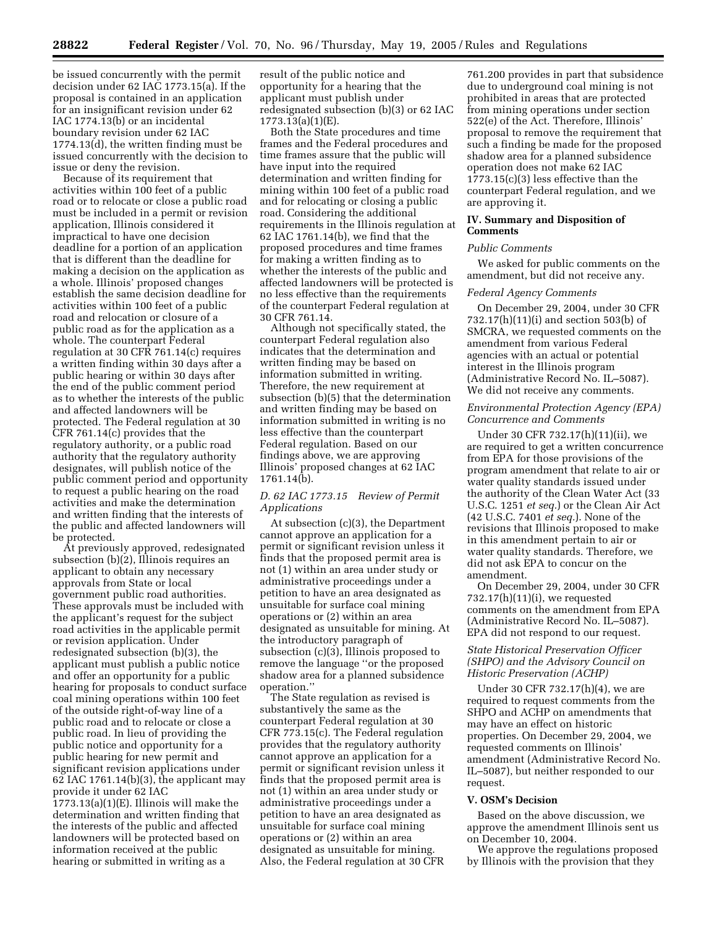be issued concurrently with the permit decision under 62 IAC 1773.15(a). If the proposal is contained in an application for an insignificant revision under 62 IAC 1774.13(b) or an incidental boundary revision under 62 IAC 1774.13(d), the written finding must be issued concurrently with the decision to issue or deny the revision.

Because of its requirement that activities within 100 feet of a public road or to relocate or close a public road must be included in a permit or revision application, Illinois considered it impractical to have one decision deadline for a portion of an application that is different than the deadline for making a decision on the application as a whole. Illinois' proposed changes establish the same decision deadline for activities within 100 feet of a public road and relocation or closure of a public road as for the application as a whole. The counterpart Federal regulation at 30 CFR 761.14(c) requires a written finding within 30 days after a public hearing or within 30 days after the end of the public comment period as to whether the interests of the public and affected landowners will be protected. The Federal regulation at 30 CFR 761.14(c) provides that the regulatory authority, or a public road authority that the regulatory authority designates, will publish notice of the public comment period and opportunity to request a public hearing on the road activities and make the determination and written finding that the interests of the public and affected landowners will be protected.

At previously approved, redesignated subsection (b)(2), Illinois requires an applicant to obtain any necessary approvals from State or local government public road authorities. These approvals must be included with the applicant's request for the subject road activities in the applicable permit or revision application. Under redesignated subsection (b)(3), the applicant must publish a public notice and offer an opportunity for a public hearing for proposals to conduct surface coal mining operations within 100 feet of the outside right-of-way line of a public road and to relocate or close a public road. In lieu of providing the public notice and opportunity for a public hearing for new permit and significant revision applications under 62 IAC 1761.14(b)(3), the applicant may provide it under 62 IAC  $1773.13(a)(1)(E)$ . Illinois will make the

determination and written finding that the interests of the public and affected landowners will be protected based on information received at the public hearing or submitted in writing as a

result of the public notice and opportunity for a hearing that the applicant must publish under redesignated subsection (b)(3) or 62 IAC 1773.13(a)(1)(E).

Both the State procedures and time frames and the Federal procedures and time frames assure that the public will have input into the required determination and written finding for mining within 100 feet of a public road and for relocating or closing a public road. Considering the additional requirements in the Illinois regulation at 62 IAC 1761.14(b), we find that the proposed procedures and time frames for making a written finding as to whether the interests of the public and affected landowners will be protected is no less effective than the requirements of the counterpart Federal regulation at 30 CFR 761.14.

Although not specifically stated, the counterpart Federal regulation also indicates that the determination and written finding may be based on information submitted in writing. Therefore, the new requirement at subsection (b)(5) that the determination and written finding may be based on information submitted in writing is no less effective than the counterpart Federal regulation. Based on our findings above, we are approving Illinois' proposed changes at 62 IAC  $1761.14(b)$ .

# *D. 62 IAC 1773.15 Review of Permit Applications*

At subsection (c)(3), the Department cannot approve an application for a permit or significant revision unless it finds that the proposed permit area is not (1) within an area under study or administrative proceedings under a petition to have an area designated as unsuitable for surface coal mining operations or (2) within an area designated as unsuitable for mining. At the introductory paragraph of subsection (c)(3), Illinois proposed to remove the language ''or the proposed shadow area for a planned subsidence operation.''

The State regulation as revised is substantively the same as the counterpart Federal regulation at 30 CFR 773.15(c). The Federal regulation provides that the regulatory authority cannot approve an application for a permit or significant revision unless it finds that the proposed permit area is not (1) within an area under study or administrative proceedings under a petition to have an area designated as unsuitable for surface coal mining operations or (2) within an area designated as unsuitable for mining. Also, the Federal regulation at 30 CFR

761.200 provides in part that subsidence due to underground coal mining is not prohibited in areas that are protected from mining operations under section 522(e) of the Act. Therefore, Illinois' proposal to remove the requirement that such a finding be made for the proposed shadow area for a planned subsidence operation does not make 62 IAC 1773.15(c)(3) less effective than the counterpart Federal regulation, and we are approving it.

### **IV. Summary and Disposition of Comments**

#### *Public Comments*

We asked for public comments on the amendment, but did not receive any.

#### *Federal Agency Comments*

On December 29, 2004, under 30 CFR 732.17(h)(11)(i) and section 503(b) of SMCRA, we requested comments on the amendment from various Federal agencies with an actual or potential interest in the Illinois program (Administrative Record No. IL–5087). We did not receive any comments.

### *Environmental Protection Agency (EPA) Concurrence and Comments*

Under 30 CFR 732.17(h)(11)(ii), we are required to get a written concurrence from EPA for those provisions of the program amendment that relate to air or water quality standards issued under the authority of the Clean Water Act (33 U.S.C. 1251 *et seq.*) or the Clean Air Act (42 U.S.C. 7401 *et seq.*). None of the revisions that Illinois proposed to make in this amendment pertain to air or water quality standards. Therefore, we did not ask EPA to concur on the amendment.

On December 29, 2004, under 30 CFR 732.17(h)(11)(i), we requested comments on the amendment from EPA (Administrative Record No. IL–5087). EPA did not respond to our request.

### *State Historical Preservation Officer (SHPO) and the Advisory Council on Historic Preservation (ACHP)*

Under 30 CFR 732.17(h)(4), we are required to request comments from the SHPO and ACHP on amendments that may have an effect on historic properties. On December 29, 2004, we requested comments on Illinois' amendment (Administrative Record No. IL–5087), but neither responded to our request.

### **V. OSM's Decision**

Based on the above discussion, we approve the amendment Illinois sent us on December 10, 2004.

We approve the regulations proposed by Illinois with the provision that they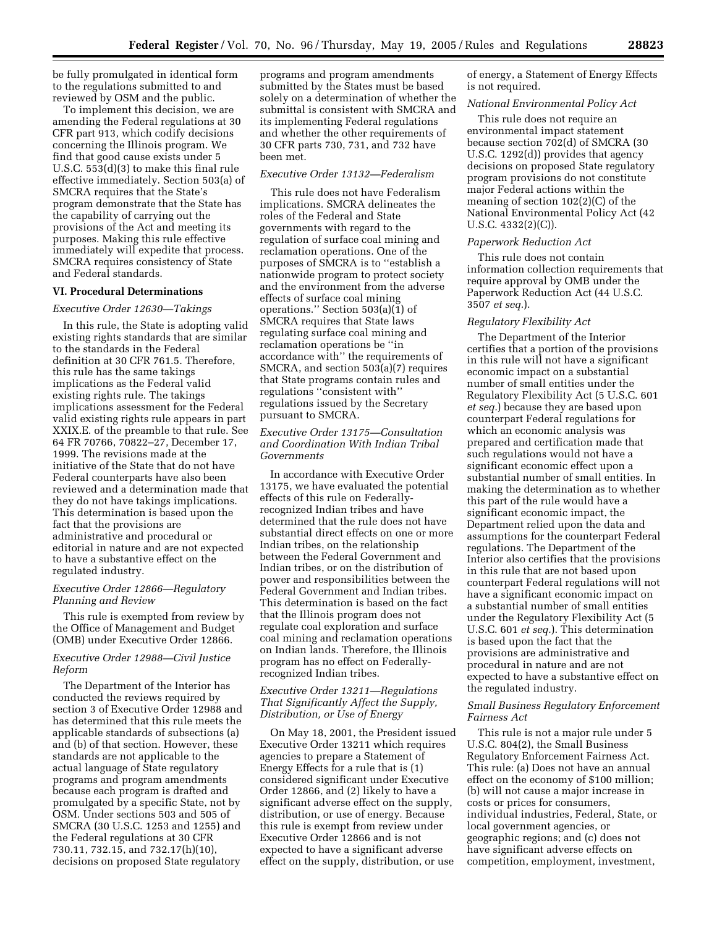be fully promulgated in identical form to the regulations submitted to and reviewed by OSM and the public.

To implement this decision, we are amending the Federal regulations at 30 CFR part 913, which codify decisions concerning the Illinois program. We find that good cause exists under 5 U.S.C. 553(d)(3) to make this final rule effective immediately. Section 503(a) of SMCRA requires that the State's program demonstrate that the State has the capability of carrying out the provisions of the Act and meeting its purposes. Making this rule effective immediately will expedite that process. SMCRA requires consistency of State and Federal standards.

### **VI. Procedural Determinations**

#### *Executive Order 12630—Takings*

In this rule, the State is adopting valid existing rights standards that are similar to the standards in the Federal definition at 30 CFR 761.5. Therefore, this rule has the same takings implications as the Federal valid existing rights rule. The takings implications assessment for the Federal valid existing rights rule appears in part XXIX.E. of the preamble to that rule. See 64 FR 70766, 70822–27, December 17, 1999. The revisions made at the initiative of the State that do not have Federal counterparts have also been reviewed and a determination made that they do not have takings implications. This determination is based upon the fact that the provisions are administrative and procedural or editorial in nature and are not expected to have a substantive effect on the regulated industry.

#### *Executive Order 12866—Regulatory Planning and Review*

This rule is exempted from review by the Office of Management and Budget (OMB) under Executive Order 12866.

# *Executive Order 12988—Civil Justice Reform*

The Department of the Interior has conducted the reviews required by section 3 of Executive Order 12988 and has determined that this rule meets the applicable standards of subsections (a) and (b) of that section. However, these standards are not applicable to the actual language of State regulatory programs and program amendments because each program is drafted and promulgated by a specific State, not by OSM. Under sections 503 and 505 of SMCRA (30 U.S.C. 1253 and 1255) and the Federal regulations at 30 CFR 730.11, 732.15, and 732.17(h)(10), decisions on proposed State regulatory

programs and program amendments submitted by the States must be based solely on a determination of whether the submittal is consistent with SMCRA and its implementing Federal regulations and whether the other requirements of 30 CFR parts 730, 731, and 732 have been met.

### *Executive Order 13132—Federalism*

This rule does not have Federalism implications. SMCRA delineates the roles of the Federal and State governments with regard to the regulation of surface coal mining and reclamation operations. One of the purposes of SMCRA is to ''establish a nationwide program to protect society and the environment from the adverse effects of surface coal mining operations.'' Section 503(a)(1) of SMCRA requires that State laws regulating surface coal mining and reclamation operations be ''in accordance with'' the requirements of SMCRA, and section 503(a)(7) requires that State programs contain rules and regulations ''consistent with'' regulations issued by the Secretary pursuant to SMCRA.

# *Executive Order 13175—Consultation and Coordination With Indian Tribal Governments*

In accordance with Executive Order 13175, we have evaluated the potential effects of this rule on Federallyrecognized Indian tribes and have determined that the rule does not have substantial direct effects on one or more Indian tribes, on the relationship between the Federal Government and Indian tribes, or on the distribution of power and responsibilities between the Federal Government and Indian tribes. This determination is based on the fact that the Illinois program does not regulate coal exploration and surface coal mining and reclamation operations on Indian lands. Therefore, the Illinois program has no effect on Federallyrecognized Indian tribes.

## *Executive Order 13211—Regulations That Significantly Affect the Supply, Distribution, or Use of Energy*

On May 18, 2001, the President issued Executive Order 13211 which requires agencies to prepare a Statement of Energy Effects for a rule that is (1) considered significant under Executive Order 12866, and (2) likely to have a significant adverse effect on the supply, distribution, or use of energy. Because this rule is exempt from review under Executive Order 12866 and is not expected to have a significant adverse effect on the supply, distribution, or use

of energy, a Statement of Energy Effects is not required.

#### *National Environmental Policy Act*

This rule does not require an environmental impact statement because section 702(d) of SMCRA (30 U.S.C. 1292(d)) provides that agency decisions on proposed State regulatory program provisions do not constitute major Federal actions within the meaning of section 102(2)(C) of the National Environmental Policy Act (42 U.S.C. 4332(2)(C)).

### *Paperwork Reduction Act*

This rule does not contain information collection requirements that require approval by OMB under the Paperwork Reduction Act (44 U.S.C. 3507 *et seq.*).

### *Regulatory Flexibility Act*

The Department of the Interior certifies that a portion of the provisions in this rule will not have a significant economic impact on a substantial number of small entities under the Regulatory Flexibility Act (5 U.S.C. 601 *et seq.*) because they are based upon counterpart Federal regulations for which an economic analysis was prepared and certification made that such regulations would not have a significant economic effect upon a substantial number of small entities. In making the determination as to whether this part of the rule would have a significant economic impact, the Department relied upon the data and assumptions for the counterpart Federal regulations. The Department of the Interior also certifies that the provisions in this rule that are not based upon counterpart Federal regulations will not have a significant economic impact on a substantial number of small entities under the Regulatory Flexibility Act (5 U.S.C. 601 *et seq.*). This determination is based upon the fact that the provisions are administrative and procedural in nature and are not expected to have a substantive effect on the regulated industry.

## *Small Business Regulatory Enforcement Fairness Act*

This rule is not a major rule under 5 U.S.C. 804(2), the Small Business Regulatory Enforcement Fairness Act. This rule: (a) Does not have an annual effect on the economy of \$100 million; (b) will not cause a major increase in costs or prices for consumers, individual industries, Federal, State, or local government agencies, or geographic regions; and (c) does not have significant adverse effects on competition, employment, investment,